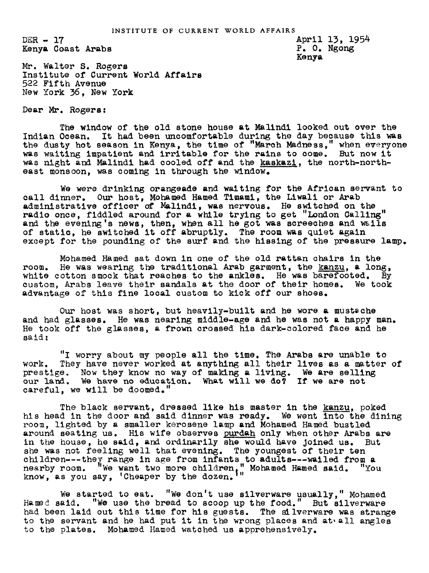$DER - 17$ Kenya Coast Arabs April 13, 1954 P. O. Ngon Kenya

Mr. Walter S. Rogers Institute of Current World Affairs 522 Fifth Avenue New York 36, New York

Dear Mr. Rogers:

The window of the old stone house at Malindi looked out over the Indian Ocean. It had been uncomfortable during the day because this was the dusty hot season in Kenya, the time of "March Madness," when everyone was waiting impatient and irritable for the rains to come. But now it was night and Malindi had cooled off and the kaskazi, the north-northeast monsoon, was coming in through the window.

We were drinking orangeade and waiting for the African servant to call dinner. Our host, Mohamed Hamed Timami, the Liwali or Arab administrative officer of Malindi, was nervous. He switched on the radio once, fiddled around for a while trying to get "London Galling" and the evening's news, then, when all he got was screeches and wails of static, he switched it off abruptly. The room was quiet again except for the pounding of the surf and the hissing of the pressure lamp.

Mohamed Hamed sat down in one of the old rattan chairs in the room. He was wearing the traditional Arab garment, the kanzu, a long, white cotton smock that reaches to the ankles. He was barefooted. By custom, Arabs leave their sandals at the door of their homes. We took advantage of this fine local custom to kick off our shoes.

Our host was short, but heavily-built and he wore a mustache and had glasses. He was nearing middle-age and he was not a happy man. He took off the glasses, a frown crossed his dark-colored face and he said:

"I worry about my people all the time. The Arabs are unable to work. They have never worked at anything all their lives as a matter of prestige. Now they know no way of making a living. We are selling our land. We have no education. What will we do? If we are not careful, we will be doomed."

The black servant, dressed like his master in the kanzu, poked his head in the door and said dinner was ready. We went into the dining room, lighted by a smaller kerosene lamp and Mohamed Hamed bustled around seating us. His wife observes purdah only when other Arabs are in the house, he said, and ordinarily she would have joined us. But she was not feeling well that evening. The youngest of their ten children---they range in age from infants to adults---wailed from a nearby room. We want two more children," Mohamed Hamed said. "You know, as you say, 'Cheaper by the dozen.

We started to eat. "We don't use silverware usually," Mohamed Hamed said. "We use the bread to scoop up the food." But silverware had been laid out this time for his guests. The silverware was strange to the servant and he had put it in the wrong places and at all angles to the plates. Mohamed Hamed watched us apprehensively.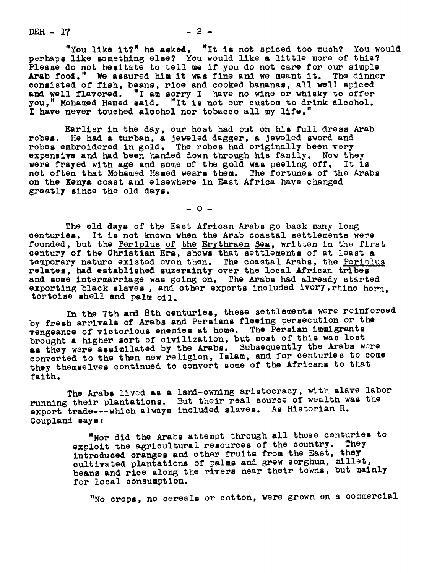$DER - 17$   $- 2 -$ 

"You like  $it?$ " he asked. "It is not spiced too much? You would perhaps like omething else? You would like & little more of this? Please do not hesitate to tell me if you do not care for our simple Arab food." We assured him it was fine and we meant it. The dinner We assured him it was fine and we meant it. The dinner consisted of fish, beans, rice and cooked bananas, all well spiced and well flavored. "I am sorry I have no wine or whisky to offer you," Mohamed Hamed said. "It is not our custom to drink alcohol. "It is not our custom to drink alcohol. I have never touched alcohol nor tobacco all my life."

Earlier in the day, our host had put on his full dress Arab robes. He had a turban, a Jeweled dagger, a Jeweled sword and robes embroidered in gold. The robes had originally been very expensive and had been handed down through his family. Now they were frayed with age and some of the gold was peeling off. It is not often that Mohamed Hamed wears them. The fortunes of the Arabs on the Kenya coast and elsewhere in East Africa have changed greatly since the old days.

 $-0 -$ 

The old days of the East African Arabs go back many long centuries. It is not known when the Arab coastal settlements were founded, but the Periplus of the Erythraen Sea, written in the first century of the Christian Era, shows that settlements of at least a temporary nature existed even then. The coastal Arabs, the Periplus relates, had established suzerainty over the local African tribes and some intermarriage was going on. The Arabs had already started exporting black slaves, and other exports included ivory, rhino horn. tortoise hell and palm oil.

In the 7th and 8th centuries, these settlements were reinforced by fresh arrivals of Arabs and Persians fleeing persecution or the vengeance of victorious enemies at home. The Persian immigrants brought a higher sort of civilization, but most of this was lost as they were assimilated by the Arabs. Subsequently the Arabs were converted to the then new religion, Islam, and for centuries to come they themselves continued to convert some of the Africans to that faith.

The Arabs lived as a land-owning aristocracy, with slave labor running their plantations. But their real source of wealth was the export trade --- which always included slaves. As Historian R. Coupland says

> "Nor did the Arabs attempt through all those centuries to exploit the agricultural resources of the country. They introduced oranges and other fruits from the East, they cultivated plantations of palms and grew sorghum, millet, beans and rice along the rivers near their towns, but mainly for local consumption.

"No crops, no cereals or cotton, were grown on <sup>a</sup> commercial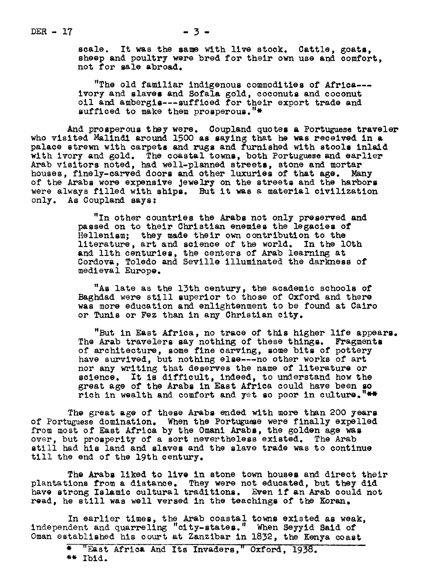scale. It was the same with live stock. Cattle, goats, sheep and poultry were bred for their own use and comfort, not for ale abroad.

"The old familiar indigenous commodities of Afrlca-- ivory and slaves and Sofala gold, coconuts and coconut oil and ambergis---sufficed for their export trade and sufficed to make them prosperous."\*

And prosperous they were. Coupland quotes a Portuguese traveler who visited Malindi around 1500 as saying that he was received in a palace strewn with carpets and rugs and furnished with stools inlaid with ivory and gold. The coastal towns, both Portuguese and earlier Arab visitors noted, had well-planned streets, stone and mortar houses, finely-carved doors and other luxuries of that age. Many of the Arabs wore expensive Jewelry on the streets and the harbors were always filled with ships. But it was a material civilization only. As Coupland says:

> "In other countries the Arabs not only preserved and passed on to their Christian enemies the legacies of Hellenism; they made their own contribution to the llterature, art and science of he world. In the lOth and llth centuries, the centers of Arab learning at Cordova, Toledo and Seville illuminated the darkness of medieval Europe.

"As late as the 13th century, the academic schools of Baghdad were still zuperior to those of Oxford and there was more education and enlightenment to be found at Cairo or Tunis or Fez than in any Christian city.

"But in East Africa, no trace of this higher life appears. The Arab travelers say nothing of these things. Fragments of architecture, some fine carving, some bits of pottery have survived, but nothing else --- no other works of art nor any writing that deserves the name of literature or science. It is difficult, indeed, to understand how the great age of the Arabs in East Africa could have been so rich in wealth and comfort and yet so poor in culture. "\*\*

The great age of these Arabs ended with more than 200 years of Portuguese domination. When the Portuguese were finally expelled from most of East Africa by the Omani Arabs, the golden age was over, but prosperity of a sort nevertheless existed. The Arab still had his land and zlavez and the zlave trade was to continue till the end of the 19th century.

The Arabs liked to live in stone town houses and direct their plantations from a distance. They were not educated, but they did have strong Islamic cultural traditions. Even if an Arab could not read, he still was well versed in the teachings of the Koran.

In earlier times, the Arab coastal towns existed as weak, independent and quarreling "city-states." When Seyyid Said of 0man established his court at Zanzibar in 1832, the Kenya coast

<sup>\* &</sup>quot;East Africa And Its Invaders," Oxford, 1938. \*\* Ibld.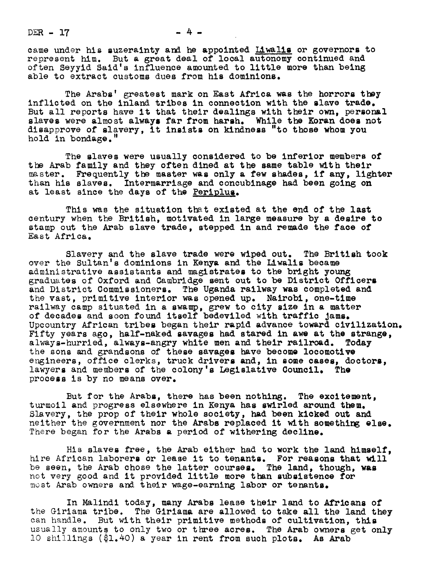$DER - 17$ 

came under his suzerainty and he appointed Liwalis or governors to represent him. But a great deal of local autonomy continued and often Seyyid Said's influence amounted to little more than being able to extract customs dues from his dominions.

The Arabs' greatest mark on East Africa was the horrorg they inflicted on the inland tribes in connection with the slave trade. But all reports have it that their dealings with their own, personal slaves were almost always far from harsh. While the Koran does not disapprove of slavery, it Inglstg on kindnegs "to those whom you hold in bondage."

The slaves were usually considered to be inferior members of the Arab family and they often dined at the game table with their master. Frequently the master wag only & few ghadeg, if any, lighter than his slaves. Intermarriage and concubinage had been going on at least since the days of the Periplus.

This was the situation that existed at the end of the last century when the British, motivated in large measure by a desire to stamp out the Arab slave trade, stepped in and remade the face of East Africa.

Slavery and the slave trade were wiped out. The British took over the Sultan's dominions in Kenya and the Liwaliz became administrative assistants and magistrateg to the bright young graduates of Oxford and Cambridge sent out to be District Officers and District Commizsionerg. The Uganda railway was completed and the vast, primitive interior was opened up. Nalrobi, one-time railway camp situated in a swamp, grew to city size in a matter of decades and soon found itself bedeviled with traffic Jamg. Upcountry African tribes began their rapid advance toward civilization. Fifty years ago, half-naked savages had stared in awe at the strange, always-hurried, always-angry white men and their railroad. Today always-hurried, always-angry white men and their railroad. the sons and grandsons of these savages have become locomotive engineers, office clerks, truck drivers and, in some cases, doctors, lawyers and members of the colony's Legislative Council. The process Is by no means over.

But for the Arabs, there has been nothing. The excitement, turmoil and progress elsewhere in Kenya has swirled around them. Slavery, the prop of their whole society, had been kicked out and neither the government nor the Arabs replaced it with something else. There began for the Arabs a period of withering decline.

His slaves free, the Arab either had to work the land himself, hire African laborers or lease it to tenants. For reasons that will be seen, the Arab chose the latter courses. The land, though, was not very good and it provided little more than subsistence for most Arab owners and their wage-earning labor or tenants.

In Malindi today, many Arabs lease their land to Africans of the Girlama tribe. The Giriama are allowed to take all the land they can handle. But with their primitive methods of cultivation, this usually amounts to only two or three acres. The Arab owners get only l0 shillings (\$1.40) a year in rent from such plots. As Arab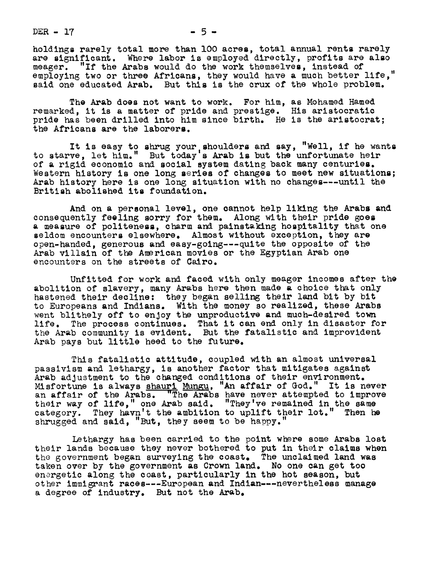$DER - 17$   $-5$   $-$ 

holdings rarely total more than 100 acres, total annual rents rarely are significant. Where labor is employed directly, profits are also meager. "If the Arabs would do the work themselves, instead of employing two or three Africans, they would have a much better life," said one educated Arab. But this is the crux of the whole problem.

The Arab does not want to work. For him, as Mohamed Hamed remarked, it is a matter of pride and prestige. His aristocratic pride has been drilled into him since birth. He is the aristocrat; the Africans are the laborers.

It is easy to shrug your shoulders and say, "Well, if he wants<br>to starve, let him." But today's Arab is but the unfortunate heir of a rigid economic and social system dating back many centuries. Western history is one long series of changes to meet new situations; Arab history here is one long situation with no changes---until the British abolished its foundation.

And on a personal level, one cannot help liking the Arabs and consequently feeling sorry for them. Along with their pride goes a measure of politeness, charm and painstaking hospitality that one seldom encounters elsewhere. Almost without exception, they are open-handed, generous and easy-going---quite the opposite of the Arab villain of the American movies or the Egyptian Arab one encounters on the streets of Cairo.

Unfitted for work and faced with only meager incomes after the abolition of slavery, many Arabs here then made a choice that only hastened their decline: they began selling their land bit by bit to Europeans and Indians. With the money so realized, these Arabs went blithely off to enjoy the unproductive and much-desired town life. The process continues. That it can end only in disaster for the Arab community is evident. But the fatalistic and improvident Arab pays but little heed to the future.

This fatalistic attitude, coupled with an almost universal passivism and lethargy, is another factor that mitigates against Arab adjustment to the changed conditions of their environment. Misfortune is always shauri Mungu, "An affair of God." It is never an affair of the Arabs. "The Arabs have never attempted to improve their way of life," one Arab said. "They've remained in the same category. They havn't the ambition to uplift their lot." Then he shrugged and said, "But, they seem to be happy."

Lethargy has been carried to the point where some Arabs lost their lands because they never bothered to put in their claims when the government began surveying the coast. The unclaimed land was taken over by the government as Crown land. No one can get too energetic along the coast, particularly in the hot season, but other immigrant races---European and Indian---nevertheless manage a degree of industry. But not the Arab.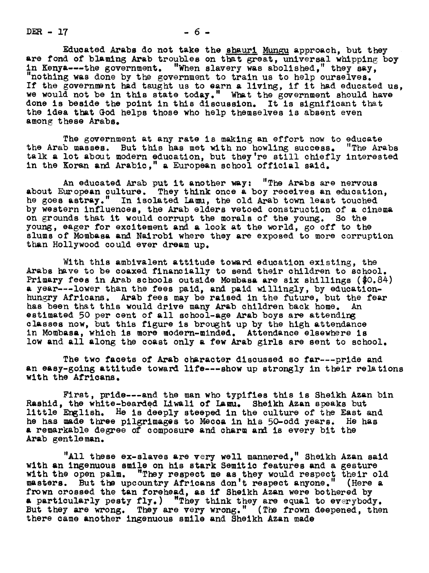$DER - 17$   $-6 -$ 

Educated Arabs do not take the shauri Mungu approach, but they are fond of blaming Arab troubles on that great, universal whipping boy in Kenya----the government. "When slavery was abolished," they say, "nothing was done by the government to train us to help ourselves. If the government had taught us to earn a living, if it had educated us, we would not be in this state today." What the government should have done is beside the point in this discussion. the idea that God helps those who help themselves is absent even among these Arabs.

The government at any rate is making an effort now to educate the Arab masses. But this has met with no howling success. "The Arabs talk a lot about modern education, but they're still chiefly interested in the Koran and Arabic." a European school official said.

An educated Arab put it another way: "The Arabs are nervous about European culture. They think once a boy receives an education, he goes astray." In isolated Lamu, the old Arab town least touched by western influences, the Arab elders vetoed construction of a cinema on grounds that it would corrupt the morals of the yours. So the young, eager for excitement and a look at the world, go off to the slums of Mombasa and Nairobi where they are exposed to more corruption than Hollywood could ever dream up.

With this ambivalent attitude toward education existing, the Arabs have to be coaxed financially to send their children to school. Primary fees in Arab schools outside Mombasa are six shillings (\$0.84) <sup>a</sup> year---lower han the fees paid, and paid willingly, by educationhungry Africans. Arab fees may be raised in the future, but the fear has been hat this would drive many Arab children back home. An estimated 50 per cent of all school-age Arab boys are attending classes now, but this figure is brought up by he high attendance in Mombasa, which is more modern-minded. Attendance elsewhere is low and all along the coast only a few Arab girls are sent to school.

The two facets of Arab character discussed so far---pride and an easy-golng attitude toward life---show up strongly in their relations with the Africans.

First, pride---and the man who typifies this is Sheikh Azan bin Rashid, the white-bearded Liwali of Lamu. Sheikh Azan speaks but little English. He is deeply steeped in the culture of the East and he has made three pilgrimages to Mecca in his 50-odd years, He has a remarkable degree of composure and charm and is every bit the Arab gent le man.

"All these ex-slaves are very well mannered," Sheikh Azan said with an ingenuous emile on his stark Semitic features and a gesture with the open palm. "They respect me as they would respect their old masters. But upcountry Africans don't respect anyone." (Here a frown crossed the tan forehead, as if Sheikh Azan were bothered by a particularly pesty fly. ) "They think they are equal to everybody. But they are wrong. They are very wrong." (The frown deepened, then there came another ingenuous smile and Sheikh Azan made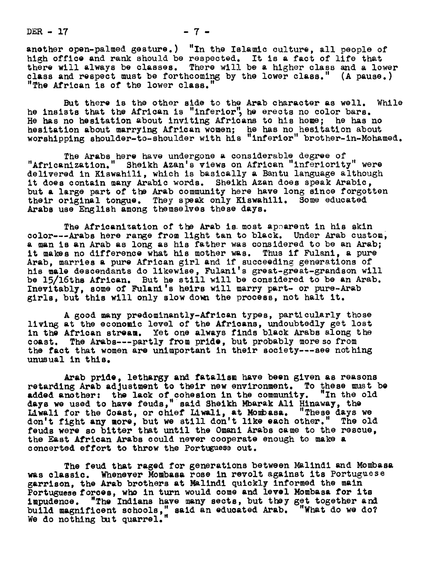$DER - 17$   $- 7 -$ 

another open-palmed gesture.) "In the Islamic culture, all people of high office and rank should be respected. It is a fact of life that there will always be classes. There will be a higher class and a lower class and respect must be forthcoming by the lower class."  $(A$  pause.) "The African is of the lower class.

But there is the other side to the Arab character as well. While he insists that the African is "inferior", he erects no color bars. He has no hesitation about inviting Africans te his home; he has no hesitation about marrying African women; he has no hesitation about worshipping shoulder-to-shoulder with his "inferior" brother-in-Mohamed.

The Arabs here have undergone a considerable degree of "Afrlcanization." Sheikh Azan's views on African "inferiority" were delivered in Kiswahili, which is basically a Bantu language although it does contain many Arabic words. Sheikh Azan does speak Arabic, but a large part of the Arab community here have long since forgotten their original tongue. They speak only Kiswahill. Some educated Arabs use English among themselves these days.

The Africanization of the Arab is most apparent in his skin color---Arabs here range from light tan to black. Under Arab custom, a man is an Arab as long as his father was considered to be an Arab; it makes no difference what his mother was. Thus if Fulanl, a pure Arab, marries a pure African girl and if succeeding generations of his male descendants do likewise, Fulani's great-great-grandson will be 15/16the African. But he still will be considered to be an Arab. Inevitably, some of Fulani's heirs will marry part- or pure-Arab girls, but this will only slow down the process, not halt it.

A good many predominantly-African types, particularly those living at the economic level of the Africans, undoubtedly get lost in the African stream. Yet one always finds black Arabs along the coast. The Arabs---partly from pride, but probably more so from the fact that women are unimportant in their society---see nothing unusual in this.

Arab pride, lethargy and fatalism have been given as reasons new prime, issues, we interest the environment. To these must be<br>retarding Arab adjustment to their new environment. To these must be<br>added another. the lack of cohesion in the community. "In the old added another: the lack of cohesion in the community. "In the old days we used to have feuds," said Sheikh Mbarak Ali Hinaway, the Liwali for the Coast, or chief Liwali, at Mombasa. "These days we don't fight any more, but we still don't like each other." The old feuds were so bitter that until the Omani Arabs came to the rescue, the East African Arabs could never cooperate enough to make a concerted effort to throw the Portuguese out.

The feud that raged for generations between Malindi and Mombasa was classic. Whenever Mombas& rose in revolt against its Portuguese g&rrisen, the Arab brothers at Mallndi quickly informed the main Portuguese forces, who in turn would come and level Mombasa for its impudence. "The Indians have many sects, but they get together and build magnificent schools," said an educated Arab. "What do we do? We do nothing but quarrel.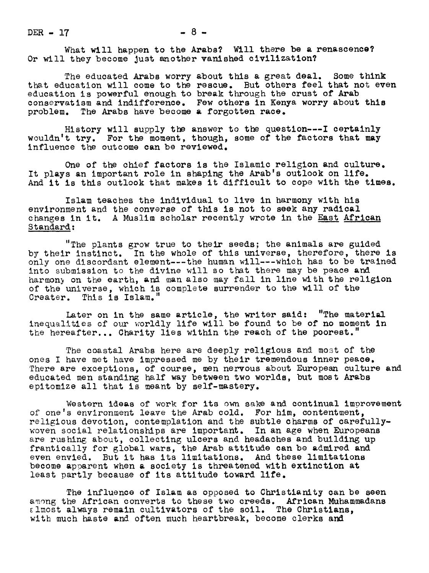$DER - 17$   $- 8 -$ 

What will happen to the Arabs? Will there be a renascence? Or will they become just another vanished civilization?

The educated Arabs worry about this a great deal. Some think that education will come to the rescue. But others feel that not even education is powerful enough to break through the crust of Arab conservatism and indifference. Few others in Kenya worry about this problem. The Arabs have become a forgotten race.

History will supply the answer to the question---I certainly wouldn't try. For the moment, though, some of the factors that may influence the outcome can be reviewed.

One of the chief factors is the Islamic religion and culture. It plays an important role in shaping the Arab's outlook on life. And it is this outlook that makes it difficult to cope with the times.

Islam teaches the individual to live in harmony with his environment and the converse of this is not to seek any radical changes in it. A Muslim scholar recently wrote in the East African Standard:

"The plants grow true to their seeds; the animals are guided by their instinct. In the whole of this universe, therefore, there is only one discordant element---the human will---which has to be trained into submission to the divine will so that there may be peace and harmony on the earth, and man also may fall in line with the religion of the universe, which is complete surrender to the will of the Creater. This is Islam.

Later on in the same article, the writer said: "The material inequalities of our worldly life will be found to be of no moment in the hereafter... Charity lies within the reach of the poorest."

The coastal Arabs here are deeply religious and mot of the ones I have met have impressed me by their tremendous inner peace. There are exceptions, of course, men nervous about European culture and educated men standing half way betweeu two worlds, but most Arabs epitomize all that is meant by self-mastery.

Western ideas of work for its own sake and continual improvement of one's environment leave the Arab cold. For him, contentment, religious devotion, contemplation and the subtle charms of carefullywoven social relationships are important. In an age when Europeans are rushing about, collecting ulcers and headaches and building up frantically for global wars, the Arab attitude can be admired and even envied. But it has its limitations. And these limitations become apoarent when a society is threatened with extinction at least partly because of its attitude toward life.

The influence of Islam as opposed to Christianity can be seen among the African converts to these two creeds. African Muhammadans lmost always remain cultivators of the soil. The Christians, with much haste and often much heartbreak, become clerks and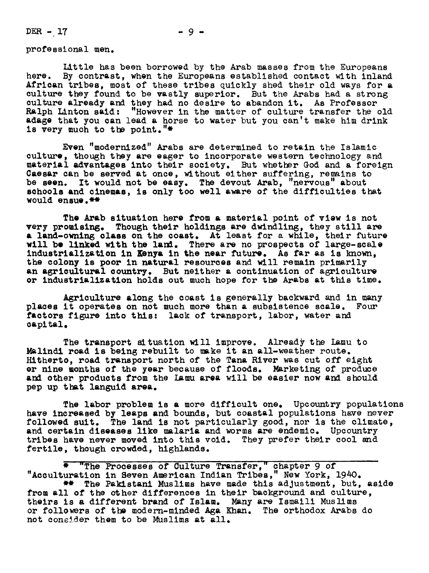DER - 17

professional men.

Little has been borrowed by the Arab masses from the Europeans here. By contrast, when the Europeans established contact with inland African tribes, most of these tribes quickly shed their old ways for a culture they found to be vastly superior. But the Arabs had a strong culture already and they had no desire to abandon it. As Professor Ralph Linton said: "However in the matter of culture transfer the old adage that you can lead a horse to water but you can't make him drink<br>is very much to the point."\*

Even "modernized" Arabs are determined to retain the Islamic culture, though they are eager to incorporate western technology and material advantages into their society. But whether God and a foreign Caesar can be served at once, without either suffering, remains to be seen. It would not be easy. The devout Arab, "nervous" about sohools and cinemas, is only too well aware of the difficulties that would ensue. \*\*

The Arab situation here from a material point of view is not very promising. Though their holdings are dwindling, they still are a land-owning class on the coast. At least for a while, their future will be linked with the land. There are no prospects of large-scale industrialization in Kenya in the near future. As far as is known, the colony is poor in natural resources and will remain primarily an agricultural ooumtry. But neither a continuation of agriculture or industrialization holds out much hope for the Arabs at this time.

Agriculture along the coast is generally backward and in many places it operates on not much more than & subsistence scale. Four factors figure into this: lack of transport, labor, water and capital.

The transport situation will improve. Already the Lamu to Malindi road is being rebuilt to make it an all-weather route. Hitherto, road transport north of the Tana River was cut off eight er nine months of the year because of floods. Marketing of produce and other products from the Lamu area will be easier now and should pep up that languid area.

The labor problem is a more difficult one. Upcountry populations have increased by leaps and bounds, but coastal populations have never followed suit. The land is not particularly good, nor is the climate, and certain diseases llke malaria and worms are endemic. Upcountry tribes have never moved into this void. They prefer their cool snd fertile, though crowded, highlands.

\* "The Processes of Culture Transfer," chapter 9 of "Acculturation in Seven American Indian Tribes," New York,  $1940$ . \*\* The Pakistani Muslims have made this adjustment, but, aside from all of the other differences in their background and culture, theirs is a different brand of Islam. Many are Ismaili Muslims or followers of the modern-minded Aga Khan. The orthodox Arabs do not consider them to be Muslims at all.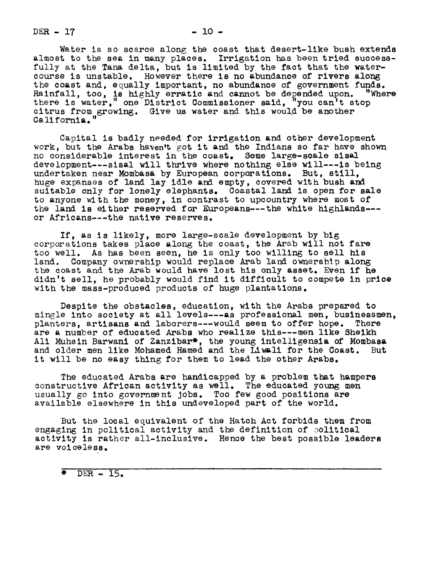$DER - 17$  - 10 -

Water is so scarce along the coast that desert-like bush extends almost to the sea in many places. Irrigation has been tried successfully at the Tana delta, but is limited by the fact that the watercourse is unstable. However there is no abundance of rivers along the coast and, equally important, no abundance of government funds.<br>Rainfall. too. is highly erratic and cannot be depended upon. "Where Rainfall, too, is highly erratic and cannot be depended upon. "Where there is water," one District Commissioner said, "you can't stop citrus from growing. Give us water and this would be another California.

Capital is badly needed for irrigation and other development work, but the Arabs haven't got it and the Indians so far have shown no considerable interest in the coast. Some large-scale sisal development---sisal will thrive where nothing else will---is being undertaken near Mombasa by European corporations. But, still, huge expanses of land lay idle and empty, covered with bush and suitable only for lonely elephants. Coastal land is open for sale to anyone with the money, in contrast to upcountry where most of the land is either reserved for Europeans---the white highlands-- or Africans---the native reserves.

If, as is likely, more large-scale development by big corporations takes place along the coast, the Arab will not fare too well. As has been seen, he is only too willing to sell his land. Company ownership would replace Arab land ownership along the coast and the Arab would have lost his only asset. Even if he didn't sell, he probably would find it difficult to compete in price with the mass-produced products of huge plantations.

Despite the obstacles, education, with the Arabs prepared to mingle into society at all levels---as professional men, businessmen,<br>planters, artisans and laborers---would seem to offer hope. There planters, artisans and laborers---would seem to offer hope. are a number of educated Arabs who realize this---men llke Sheikh Ali Muhsin Barwani of Zanzibar\*, the young intelligensia of Mombasa and older men llke Mohamed Hamed and the Liwali for the Coast. But it will be no easy thing for them to lead the other Arabs.

The educated Arabs are handicapped by a problem that hampers constructive African activity as well. The educated young men usually go into government Jobs. Too few good positions are available elsewhere in this undeveloped part of the world.

But the local equivalent of the Hatch Act forbids them from engaging in political activity and the definition of political activity is rather all-inclusive. Hence the best possible leaders are voiceless.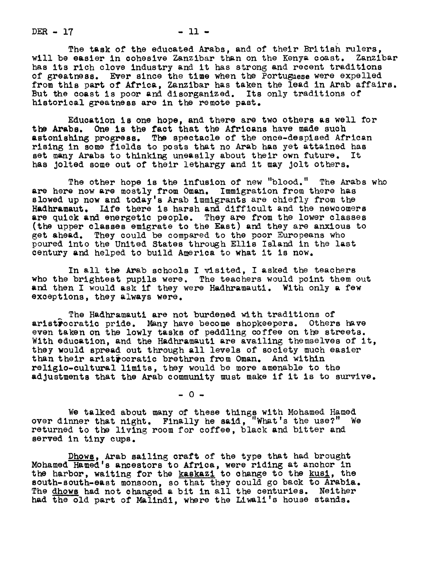$DER - 17$   $- 11$   $-$ 

The task of the educated Arabs, and of their British rulers, will be easier in cohesive Zanzibar than on the Kenya coast. Zanzibar has its rich clove industry and it has strong and recent traditions of greatness. Ever since the time when the Portugaese were expelled from this part of Africa, Zanzibar has taken the lead in Arab affairs. But the coast is poor and disorganized. Its only traditions of historical greatness are in the remote past.

Education is one hope, and there are two others as well for the Arabs. One is the fact that the Africans have made such astonishing progress. The spectacle of the once-despised African rising in some fields to posts that no Arab has yet attained has set many Arabs to thinking uneasily about their own future. It has Jolted some out of their lethargy and it may Jolt others.

The other hope is the infusion of new "blood." The Arabs who are here now are mostly from 0man. Immigration from there has slowed up now and today's Arab immigrants are chiefly from the Hadhramaut. Life there is harsh and difficult and the newcomers are quick and energetic people. They are from the lower classes (the upper classes emigrate to the East) and they are anxious to get ahead. They could be compared to the poor Europeans who poured into the United States through Ellis Island in the last century and helped to build America to what it is now.

In all the Arab schools I visited, I asked the teachers who the brightest pupils were. The teachers would point them out and then I would ask if they were Hadhramauti. With only a few exceptions, they always were.

The Hadhramauti are not burdened with traditions of aristrocratic pride. Many have become shopkeepers. Others have even taken on the lowly tasks of peddling coffee on the streets. With education, and the Hadhramauti are availing themselves of it, they would spread out through all levels of society much easier than their aristrocratic brethren from Oman. And within religlo-cultural limits, they would be more amenable to the adjustments that the Arab community must make if it is to survive.

 $-0-$ 

We talked about many of these things with Mohamed Hamed<br>over dinner that night. Finally he said, "What's the use?" We returned to the living room for coffee, black and bitter and served in tiny cups.

Dhows, Arab sailing craft of the type that had brought Mohamed Hamed's ancestors to Africa, were riding at anchor in the harbor, waiting for the kaskazi to change to the kusi, the south-south-east monsoon, so that they could go back to Arabia. The dhows had not changed a bit in all the centuries. Neither had the old part of Malindi, where the Liwali's house stands.